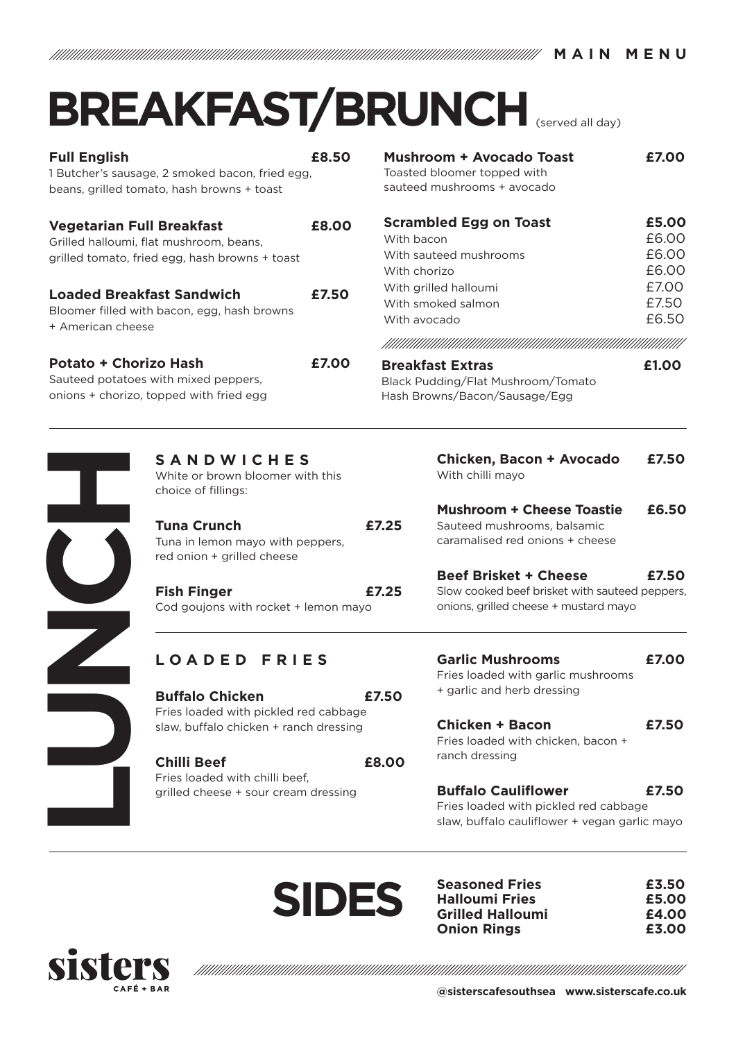**MAIN MENU**

## **BREAKFAST/BRUNCH** (served all day)

| <b>Full English</b><br>£8.50<br>1 Butcher's sausage, 2 smoked bacon, fried egg,<br>beans, grilled tomato, hash browns + toast |       |                                |
|-------------------------------------------------------------------------------------------------------------------------------|-------|--------------------------------|
| <b>Vegetarian Full Breakfast</b><br>Grilled halloumi, flat mushroom, beans,<br>grilled tomato, fried egg, hash browns + toast | £8.00 | Scra<br>With<br>With<br>With   |
| <b>Loaded Breakfast Sandwich</b><br>Bloomer filled with bacon, egg, hash browns<br>+ American cheese                          | £7.50 | With<br>With<br>With<br>!!!!!! |
| Potato + Chorizo Hash<br>Sauteed potatoes with mixed peppers,<br>onions + chorizo, topped with fried egg                      | £7.00 | Brea<br>Black<br>Hash          |

| Mushroom + Avocado Toast<br>Toasted bloomer topped with<br>sauteed mushrooms + avocado | £7.00 |
|----------------------------------------------------------------------------------------|-------|
| <b>Scrambled Egg on Toast</b>                                                          | £5.00 |
| With bacon                                                                             | £6.00 |
| With sauteed mushrooms                                                                 | £6.00 |
| With chorizo                                                                           | £6.00 |
| With grilled halloumi                                                                  | £7.00 |
| With smoked salmon                                                                     | £7.50 |
| With avocado                                                                           | £6.50 |
|                                                                                        |       |
| <b>Breakfast Extras</b>                                                                | £1.00 |
| Plack Budding/Elat Muchroom/Tomato                                                     |       |

Pudding/Flat Mushroom/Tomato Browns/Bacon/Sausage/Egg

| <b>SANDWICHES</b><br>White or brown bloomer wi<br>choice of fillings:                   |
|-----------------------------------------------------------------------------------------|
| <b>Tuna Crunch</b><br>Tuna in lemon mayo with pe<br>red onion + grilled cheese          |
| <b>Fish Finger</b><br>Cod goujons with rocket + I                                       |
| LOADED FRIE                                                                             |
| <b>Buffalo Chicken</b><br>Fries loaded with pickled re<br>slaw, buffalo chicken + rancl |
| <b>Chilli Beef</b><br>Fries loaded with chilli beef,<br>grilled cheese + sour cream     |
|                                                                                         |

| <b>SANDWICHES</b>                |  |
|----------------------------------|--|
| White or brown bloomer with this |  |
| choice of fillings:              |  |

**Tuna Crunch £7.25** Tuna in lemon mayo with peppers, red onion + grilled cheese

**Fish Finger £7.25** Cod goujons with rocket + lemon mayo

| Chicken, Bacon + Avocado         | £7.50 |
|----------------------------------|-------|
| With chilli mayo                 |       |
|                                  |       |
| <b>Mushroom + Cheese Toastie</b> | £6.50 |
|                                  |       |

Sauteed mushrooms, balsamic caramalised red onions + cheese

**Beef Brisket + Cheese £7.50**  Slow cooked beef brisket with sauteed peppers, onions, grilled cheese + mustard mayo

## **LOADED FRIES**

**Buffalo Chicken £7.50** Fries loaded with pickled red cabbage slaw, buffalo chicken + ranch dressing

**Chilli Beef £8.00** Fries loaded with chilli beef, grilled cheese + sour cream dressing

**Garlic Mushrooms £7.00** Fries loaded with garlic mushrooms + garlic and herb dressing

**Chicken + Bacon £7.50** Fries loaded with chicken, bacon + ranch dressing

**Buffalo Cauliflower £7.50** Fries loaded with pickled red cabbage slaw, buffalo cauliflower + vegan garlic mayo



**Seasoned Fries £3.50 Halloumi Fries £5.00 Grilled Halloumi £4.00 Onion Rings £3.00**



**@sisterscafesouthsea www.sisterscafe.co.uk**